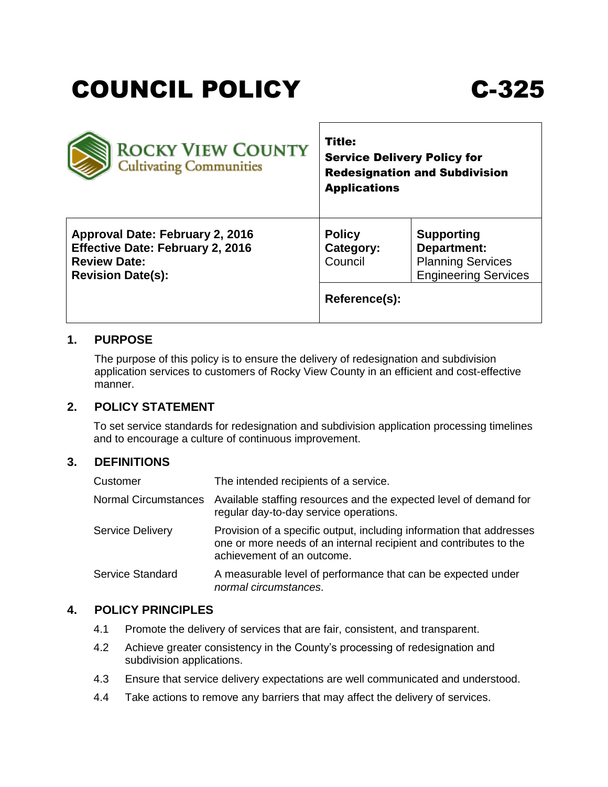# COUNCIL POLICY C-325

| <b>ROCKY VIEW COUNTY</b><br><b>Cultivating Communities</b> | <b>Title:</b><br><b>Service Delivery Policy for</b><br><b>Redesignation and Subdivision</b><br><b>Applications</b> |                             |
|------------------------------------------------------------|--------------------------------------------------------------------------------------------------------------------|-----------------------------|
| Approval Date: February 2, 2016                            | <b>Policy</b>                                                                                                      | <b>Supporting</b>           |
| <b>Effective Date: February 2, 2016</b>                    | Category:                                                                                                          | Department:                 |
| <b>Review Date:</b>                                        | Council                                                                                                            | <b>Planning Services</b>    |
| <b>Revision Date(s):</b>                                   | Reference(s):                                                                                                      | <b>Engineering Services</b> |

### **1. PURPOSE**

The purpose of this policy is to ensure the delivery of redesignation and subdivision application services to customers of Rocky View County in an efficient and cost-effective manner.

### **2. POLICY STATEMENT**

To set service standards for redesignation and subdivision application processing timelines and to encourage a culture of continuous improvement.

### **3. DEFINITIONS**

| Customer             | The intended recipients of a service.                                                                                                                                   |
|----------------------|-------------------------------------------------------------------------------------------------------------------------------------------------------------------------|
| Normal Circumstances | Available staffing resources and the expected level of demand for<br>regular day-to-day service operations.                                                             |
| Service Delivery     | Provision of a specific output, including information that addresses<br>one or more needs of an internal recipient and contributes to the<br>achievement of an outcome. |
| Service Standard     | A measurable level of performance that can be expected under<br>normal circumstances.                                                                                   |

#### **4. POLICY PRINCIPLES**

- 4.1 Promote the delivery of services that are fair, consistent, and transparent.
- 4.2 Achieve greater consistency in the County's processing of redesignation and subdivision applications.
- 4.3 Ensure that service delivery expectations are well communicated and understood.
- 4.4 Take actions to remove any barriers that may affect the delivery of services.